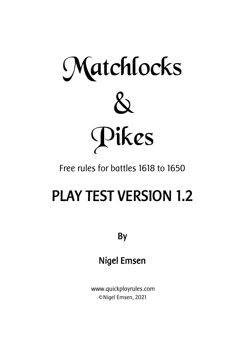

# Free rules for battles 1618 to 1650

# PLAY TEST VERSION 1.2

By

# Nigel Emsen

www.quickplayrules.com ©Nigel Emsen, 2021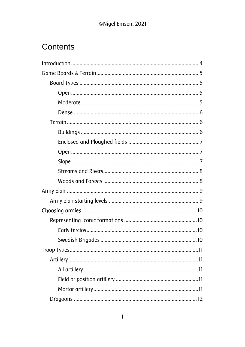### Contents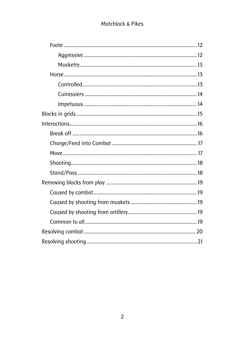#### Matchlock & Pikes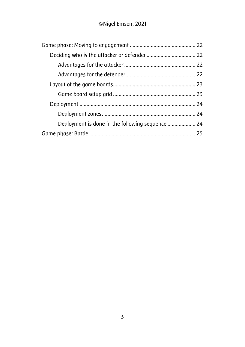| Deployment is done in the following sequence  24 |  |
|--------------------------------------------------|--|
|                                                  |  |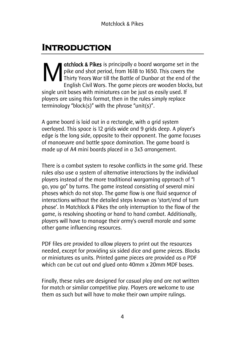### **Introduction**

atchlock & Pikes is principally a board wargame set in the pike and shot period, from 1618 to 1650. This covers the Thirty Years War till the Battle of Dunbar at the end of the English Civil Wars. The game pieces are wooden blocks, but single unit bases with miniatures can be just as easily used. If players are using this format, then in the rules simply replace terminology "block(s)" with the phrase "unit(s)". M

A game board is laid out in a rectangle, with a grid system overlayed. This space is 12 grids wide and 9 grids deep. A player's edge is the long side, opposite to their opponent. The game focuses of manoeuvre and battle space domination. The game board is made up of A4 mini boards placed in a 3x3 arrangement.

There is a combat system to resolve conflicts in the same grid. These rules also use a system of alternative interactions by the individual players instead of the more traditional wargaming approach of "I go, you go" by turns. The game instead consisting of several mini phases which do not stop. The game flow is one fluid sequence of interactions without the detailed steps known as 'start/end of turn phase'. In Matchlock & Pikes the only interruption to the flow of the game, is resolving shooting or hand to hand combat. Additionally, players will have to manage their army's overall morale and some other game influencing resources.

PDF files are provided to allow players to print out the resources needed, except for providing six sided dice and game pieces. Blocks or miniatures as units. Printed game pieces are provided as a PDF which can be cut out and glued onto 40mm x 20mm MDF bases.

Finally, these rules are designed for casual play and are not written for match or similar competitive play. Players are welcome to use them as such but will have to make their own umpire rulings.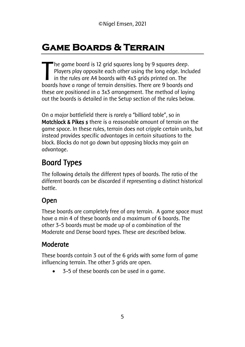### **Game Boards & Terrain**

 $\blacksquare$ he game board is 12 grid squares long by 9 squares deep. Players play opposite each other using the long edge. Included in the rules are A4 boards with 4x3 grids printed on. The The game board is 12 grid squares long by 9 squares deep.<br>Players play opposite each other using the long edge. Includ<br>in the rules are A4 boards with 4x3 grids printed on. The<br>boards have a range of terrain densities. The these are positioned in a 3x3 arrangement. The method of laying out the boards is detailed in the Setup section of the rules below.

On a major battlefield there is rarely a "billiard table", so in Matchlock & Pikes s there is a reasonable amount of terrain on the game space. In these rules, terrain does not cripple certain units, but instead provides specific advantages in certain situations to the block. Blocks do not go down but opposing blocks may gain an advantage.

### Board Types

The following details the different types of boards. The ratio of the different boards can be discarded if representing a distinct historical battle.

#### Open

These boards are completely free of any terrain. A game space must have a min 4 of these boards and a maximum of 6 boards. The other 3-5 boards must be made up of a combination of the Moderate and Dense board types. These are described below.

### **Moderate**

These boards contain 3 out of the 6 grids with some form of game influencing terrain. The other 3 grids are open.

• 3-5 of these boards can be used in a game.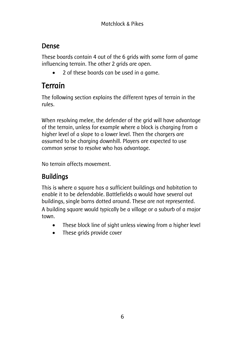#### Dense

These boards contain 4 out of the 6 grids with some form of game influencing terrain. The other 2 grids are open.

• 2 of these boards can be used in a game.

### Terrain

The following section explains the different types of terrain in the rules.

When resolving melee, the defender of the grid will have advantage of the terrain, unless for example where a block is charging from a higher level of a slope to a lower level. Then the chargers are assumed to be charging downhill. Players are expected to use common sense to resolve who has advantage.

No terrain affects movement.

### Buildings

This is where a square has a sufficient buildings and habitation to enable it to be defendable. Battlefields a would have several out buildings, single barns dotted around. These are not represented.

A building square would typically be a village or a suburb of a major town.

- These block line of sight unless viewing from a higher level
- These grids provide cover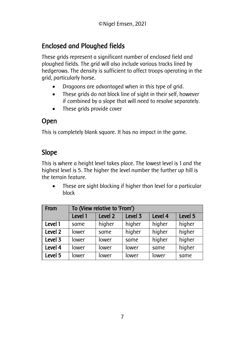### Enclosed and Ploughed fields

These grids represent a significant number of enclosed field and ploughed fields. The grid will also include various tracks lined by hedgerows. The density is sufficient to affect troops operating in the grid, particularly horse.

- Dragoons are advantaged when in this type of grid.
- These grids do not block line of sight in their self, however if combined by a slope that will need to resolve separately.
- These grids provide cover

#### Open

This is completely blank square. It has no impact in the game.

#### Slope

This is where a height level takes place. The lowest level is 1 and the highest level is 5. The higher the level number the further up hill is the terrain feature.

• These are sight blocking if higher than level for a particular block

| From    | To (View relative to 'From') |                    |         |         |         |  |  |  |  |
|---------|------------------------------|--------------------|---------|---------|---------|--|--|--|--|
|         | Level 1                      | Level <sub>2</sub> | Level 3 | Level 4 | Level 5 |  |  |  |  |
| Level 1 | same                         | higher             | higher  | higher  | higher  |  |  |  |  |
| Level 2 | lower                        | same               | higher  | higher  | higher  |  |  |  |  |
| Level 3 | lower                        | lower              | same    | higher  | higher  |  |  |  |  |
| Level 4 | lower                        | lower              | lower   | same    | higher  |  |  |  |  |
| Level 5 | lower                        | lower              | lower   | lower   | same    |  |  |  |  |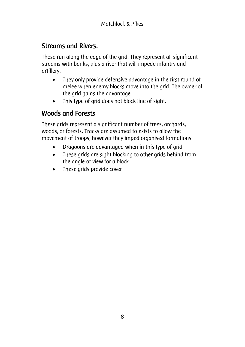#### Streams and Rivers.

These run along the edge of the grid. They represent all significant streams with banks, plus a river that will impede infantry and artillery.

- They only provide defensive advantage in the first round of melee when enemy blocks move into the grid. The owner of the grid gains the advantage.
- This type of grid does not block line of sight.

#### Woods and Forests

These grids represent a significant number of trees, orchards, woods, or forests. Tracks are assumed to exists to allow the movement of troops, however they imped organised formations.

- Dragoons are advantaged when in this type of grid
- These grids are sight blocking to other grids behind from the angle of view for a block
- These grids provide cover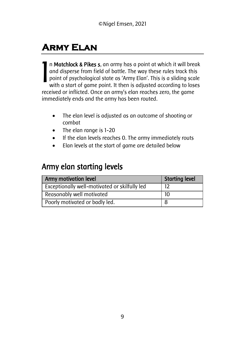# **Army Elan**

n Matchlock & Pikes s, an army has a point at which it will break and disperse from field of battle. The way these rules track this point of psychological state as 'Army Elan'. This is a sliding scale with a start of game point. It then is adjusted according to loses received or inflicted. Once an army's elan reaches zero, the game immediately ends and the army has been routed. I

- The elan level is adjusted as an outcome of shooting or combat
- The elan range is 1-20
- If the elan levels reaches 0. The army immediately routs
- Elan levels at the start of game are detailed below

### Army elan starting levels

| Army motivation level                         | <b>Starting level</b> |
|-----------------------------------------------|-----------------------|
| Exceptionally well-motivated or skilfully led | 12                    |
| Reasonably well motivated                     | 10                    |
| Poorly motivated or badly led.                |                       |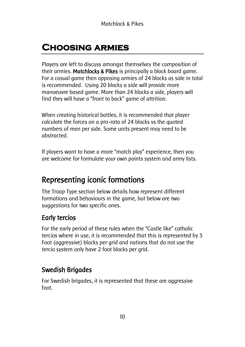### **Choosing armies**

Players are left to discuss amongst themselves the composition of their armies. Matchlocks & Pikes is principally a block board game. For a casual game then opposing armies of 24 blocks as side in total is recommended. Using 20 blocks a side will provide more manoeuvre based game. More than 24 blocks a side, players will find they will have a "front to back" game of attrition.

When creating historical battles, it is recommended that player calculate the forces on a pro-rata of 24 blocks vs the quoted numbers of men per side. Some units present may need to be abstracted.

If players want to have a more "match play" experience, then you are welcome for formulate your own points system and army lists.

### Representing iconic formations

The Troop Type section below details how represent different formations and behaviours in the game, but below are two suggestions for two specific ones.

#### Early tercios

For the early period of these rules when the "Castle like" catholic tercios where in use, it is recommended that this is represented by 3 Foot (aggressive) blocks per grid and nations that do not use the tercio system only have 2 foot blocks per grid.

#### Swedish Brigades

For Swedish brigades, it is represented that these are aggressive foot.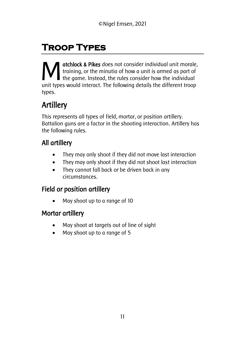# **Troop Types**

atchlock & Pikes does not consider individual unit morale, training, or the minutia of how a unit is armed as part of the game. Instead, the rules consider how the individual We atchlock & Pikes does not consider individual unit morale, training, or the minutia of how a unit is armed as part of the game. Instead, the rules consider how the individual unit types would interact. The following det types.

# **Artillery**

This represents all types of field, mortar, or position artillery. Battalion guns are a factor in the shooting interaction. Artillery has the following rules.

### All artillery

- They may only shoot if they did not move last interaction
- They may only shoot if they did not shoot last interaction
- They cannot fall back or be driven back in any circumstances.

#### Field or position artillery

• May shoot up to a range of 10

#### Mortar artillery

- May shoot at targets out of line of sight
- May shoot up to a range of 5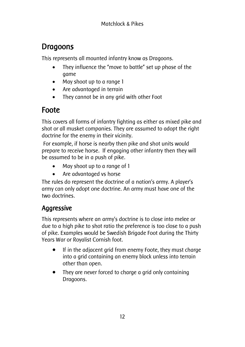### Dragoons

This represents all mounted infantry know as Dragoons.

- They influence the "move to battle" set up phase of the game
- May shoot up to a range 1
- Are advantaged in terrain
- They cannot be in any grid with other Foot

### Foote

This covers all forms of infantry fighting as either as mixed pike and shot or all musket companies. They are assumed to adopt the right doctrine for the enemy in their vicinity.

For example, if horse is nearby then pike and shot units would prepare to receive horse. If engaging other infantry then they will be assumed to be in a push of pike.

- May shoot up to a range of 1
- Are advantaged vs horse

The rules do represent the doctrine of a nation's army. A player's army can only adopt one doctrine. An army must have one of the two doctrines.

### Aggressive

This represents where an army's doctrine is to close into melee or due to a high pike to shot ratio the preference is too close to a push of pike. Examples would be Swedish Brigade Foot during the Thirty Years War or Royalist Cornish foot.

- If in the adjacent grid from enemy Foote, they must charge into a grid containing an enemy block unless into terrain other than open.
- They are never forced to charge a grid only containing Dragoons.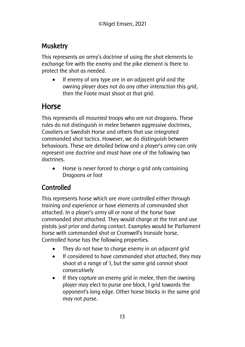#### **Musketry**

This represents an army's doctrine of using the shot elements to exchange fire with the enemy and the pike element is there to protect the shot as needed.

If enemy of any type are in an adjacent arid and the owning player does not do any other interaction this grid, then the Foote must shoot at that grid.

### Horse

This represents all mounted troops who are not dragoons. These rules do not distinguish in melee between aggressive doctrines, Cavaliers or Swedish Horse and others that use integrated commanded shot tactics. However, we do distinguish between behaviours. These are detailed below and a player's army can only represent one doctrine and must have one of the following two doctrines.

• Horse is never forced to charge a grid only containing Dragoons or foot

### Controlled

This represents horse which are more controlled either through training and experience or have elements of commanded shot attached. In a player's army all or none of the horse have commanded shot attached. They would charge at the trot and use pistols just prior and during contact. Examples would be Parliament horse with commanded shot or Cromwell's Ironside horse. Controlled horse has the following properties.

- They do not have to charge enemy in an adjacent grid
- If considered to have commanded shot attached, they may shoot at a range of 1, but the same grid cannot shoot consecutively
- If they capture an enemy grid in melee, then the owning player may elect to purse one block, 1 grid towards the opponent's long edge. Other horse blocks in the same grid may not purse.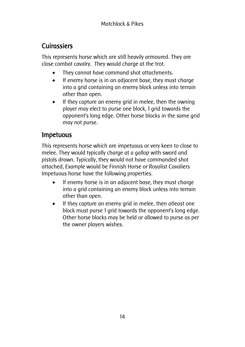### Cuirassiers

This represents horse which are still heavily armoured. They are close combat cavalry. They would charge at the trot.

- They cannot have command shot attachments.
- If enemy horse is in an adjacent base, they must charge into a grid containing an enemy block unless into terrain other than open.
- If they capture an enemy grid in melee, then the owning player may elect to purse one block, 1 grid towards the opponent's long edge. Other horse blocks in the same grid may not purse.

#### Impetuous

This represents horse which are impetuous or very keen to close to melee. They would typically charge at a gallop with sword and pistols drawn. Typically, they would not have commanded shot attached, Example would be Finnish Horse or Royalist Cavaliers Impetuous horse have the following properties.

- If enemy horse is in an adjacent base, they must charge into a grid containing an enemy block unless into terrain other than open.
- If they capture an enemy grid in melee, then atleast one block must purse 1 grid towards the opponent's long edge. Other horse blocks may be held or allowed to purse as per the owner players wishes.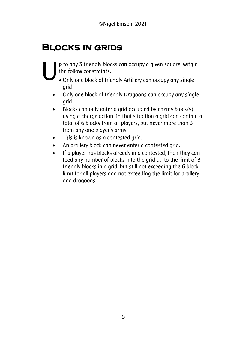### **Blocks in grids**

p to any 3 friendly blocks can occupy a given square, within the follow constraints. U

- Only one block of friendly Artillery can occupy any single grid
- Only one block of friendly Dragoons can occupy any single grid
- Blocks can only enter a grid occupied by enemy block(s) using a charge action. In that situation a grid can contain a total of 6 blocks from all players, but never more than 3 from any one player's army.
- This is known as a contested grid.
- An artillery block can never enter a contested grid.
- If a player has blocks already in a contested, then they can feed any number of blocks into the grid up to the limit of 3 friendly blocks in a grid, but still not exceeding the 6 block limit for all players and not exceeding the limit for artillery and dragoons.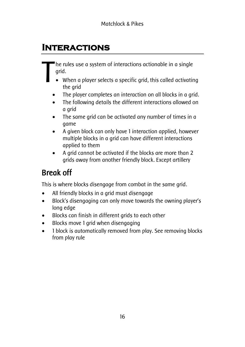### **Interactions**

he rules use a system of interactions actionable in a single grid. T

- When a player selects a specific grid, this called activating the grid
- The player completes an interaction on all blocks in a grid.
- The following details the different interactions allowed on a grid
- The same grid can be activated any number of times in a game
- A given block can only have 1 interaction applied, however multiple blocks in a grid can have different interactions applied to them
- A grid cannot be activated if the blocks are more than 2 grids away from another friendly block. Except artillery

### Break off

This is where blocks disengage from combat in the same grid.

- All friendly blocks in a grid must disengage
- Block's disengaging can only move towards the owning player's long edge
- Blocks can finish in different grids to each other
- Blocks move 1 grid when disengaging
- 1 block is automatically removed from play. See removing blocks from play rule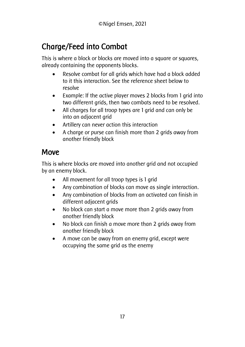## Charge/Feed into Combat

This is where a block or blocks are moved into a square or squares, already containing the opponents blocks.

- Resolve combat for all grids which have had a block added to it this interaction. See the reference sheet below to resolve
- Example: If the active player moves 2 blocks from 1 grid into two different grids, then two combats need to be resolved.
- All charges for all troop types are 1 grid and can only be into an adjacent grid
- Artillery can never action this interaction
- A charge or purse can finish more than 2 grids away from another friendly block

### Move

This is where blocks are moved into another grid and not occupied by an enemy block.

- All movement for all troop types is 1 grid
- Any combination of blocks can move as single interaction.
- Any combination of blocks from an activated can finish in different adjacent grids
- No block can start a move more than 2 grids away from another friendly block
- No block can finish a move more than 2 grids away from another friendly block
- A move can be away from an enemy grid, except were occupying the same grid as the enemy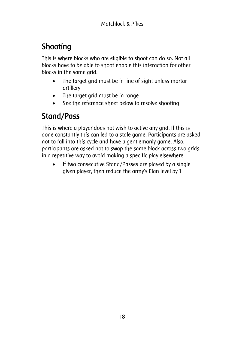# Shooting

This is where blocks who are eligible to shoot can do so. Not all blocks have to be able to shoot enable this interaction for other blocks in the same grid.

- The target grid must be in line of sight unless mortar artillery
- The target grid must be in range
- See the reference sheet below to resolve shooting

## Stand/Pass

This is where a player does not wish to active any grid. If this is done constantly this can led to a stale game, Participants are asked not to fall into this cycle and have a gentlemanly game. Also, participants are asked not to swap the same block across two grids in a repetitive way to avoid making a specific play elsewhere.

• If two consecutive Stand/Passes are played by a single given player, then reduce the army's Elan level by 1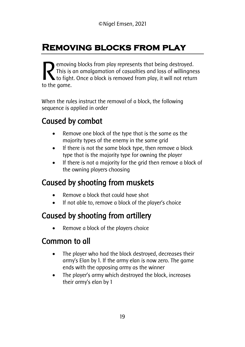### **Removing blocks from play**

emoving blocks from play represents that being destroyed. This is an amalgamation of casualties and loss of willingness to fight. Once a block is removed from play, it will not return **R** This is<br>to figh<br>to the game.

When the rules instruct the removal of a block, the following sequence is applied in order

### Caused by combat

- Remove one block of the type that is the same as the majority types of the enemy in the same grid
- If there is not the same block type, then remove a block type that is the majority type for owning the player
- If there is not a majority for the grid then remove a block of the owning players choosing

### Caused by shooting from muskets

- Remove a block that could have shot
- If not able to, remove a block of the player's choice

### Caused by shooting from artillery

• Remove a block of the players choice

### Common to all

- The player who had the block destroyed, decreases their army's Elan by 1. If the army elan is now zero. The game ends with the opposing army as the winner
- The player's army which destroyed the block, increases their army's elan by 1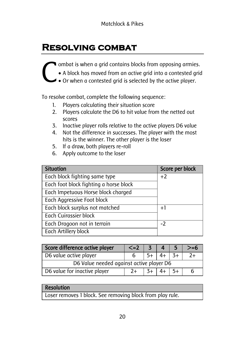### **Resolving combat**

ombat is when a grid contains blocks from opposing armies. C

- A block has moved from an active grid into a contested grid
- Or when a contested grid is selected by the active player.

To resolve combat, complete the following sequence:

- 1. Players calculating their situation score
- 2. Players calculate the D6 to hit value from the netted out scores
- 3. Inactive player rolls relative to the active players D6 value
- 4. Not the difference in successes. The player with the most hits is the winner. The other player is the loser
- 5. If a draw, both players re-roll
- 6. Apply outcome to the loser

| <b>Situation</b>                       | Score per block |
|----------------------------------------|-----------------|
| Each block fighting same type          | $+2$            |
| Each foot block fighting a horse block |                 |
| Each Impetuous Horse block charged     |                 |
| Each Aggressive Foot block             |                 |
| Each block surplus not matched         | $+1$            |
| Each Cuirassier block                  |                 |
| Each Dragoon not in terrain            | $-2$            |
| Each Artillery block                   |                 |

| Score difference active player           | $\leq$ =2 |  |  |  | $\sim$ -b |  |  |  |
|------------------------------------------|-----------|--|--|--|-----------|--|--|--|
| D6 value active player                   |           |  |  |  |           |  |  |  |
| D6 Value needed against active player D6 |           |  |  |  |           |  |  |  |
| D6 value for inactive player             |           |  |  |  |           |  |  |  |

#### **Resolution**

Loser removes 1 block. See removing block from play rule.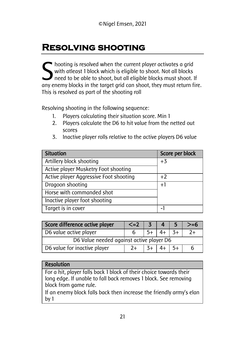### **Resolving shooting**

hooting is resolved when the current player activates a grid  $\Box$  with atleast 1 block which is eligible to shoot. Not all blocks need to be able to shoot, but all eligible blocks must shoot. If Solved when the current player activates a grid with atleast 1 block which is eligible to shoot. Not all blocks need to be able to shoot, but all eligible blocks must shoot. If any enemy blocks in the target grid can shoot This is resolved as part of the shooting roll

Resolving shooting in the following sequence:

- 1. Players calculating their situation score. Min 1
- 2. Players calculate the D6 to hit value from the netted out scores
- Situation Situation Situation Situation Situation Situation Situation Situation Situation Situation Situation Artillery block shooting  $+3$ Active player Musketry Foot shooting Active player Aggressive Foot shooting  $+2$ Dragoon shooting  $|+1|$ Horse with commanded shot Inactive player foot shooting Target is in cover

|  | 3. Inactive player rolls relative to the active players D6 value |  |  |  |
|--|------------------------------------------------------------------|--|--|--|
|--|------------------------------------------------------------------|--|--|--|

| Score difference active player           | $\leq$ =2 |  |  |  |      |  |  |  |
|------------------------------------------|-----------|--|--|--|------|--|--|--|
| D6 value active player                   |           |  |  |  | $2+$ |  |  |  |
| D6 Value needed against active player D6 |           |  |  |  |      |  |  |  |
| D6 value for inactive player             |           |  |  |  |      |  |  |  |

#### **Resolution**

For a hit, player falls back 1 block of their choice towards their long edge. If unable to fall back removes 1 block. See removing block from game rule.

If an enemy block falls back then increase the friendly army's elan by 1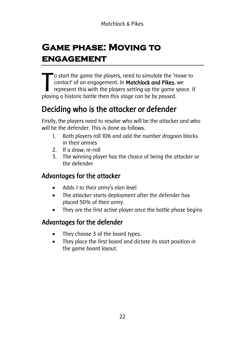# **Game phase: Moving to engagement**

 $\blacksquare$ o start the game the players, need to simulate the 'move to contact' of an engagement. In Matchlock and Pikes, we The start the game the players, need to simulate the 'move to<br>
contact' of an engagement. In **Matchlock and Pikes**, we<br>
represent this with the players setting up the game space. If<br>
playing a historic battle then this sta playing a historic battle then this stage can be by passed.

# Deciding who is the attacker or defender

Firstly, the players need to resolve who will be the attacker and who will be the defender. This is done as follows.

- 1. Both players roll 1D6 and add the number dragoon blocks in their armies
- 2. If a draw, re-roll
- 3. The winning player has the choice of being the attacker or the defender

#### Advantages for the attacker

- Adds 1 to their army's elan level
- The attacker starts deployment after the defender has placed 50% of their army.
- They are the first active player once the battle phase begins

### Advantages for the defender

- They choose 3 of the board types.
- They place the first board and dictate its start position in the game board layout.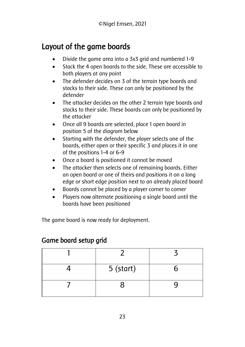### Layout of the game boards

- Divide the game area into a 3x3 grid and numbered 1-9
- Stack the 4 open boards to the side. These are accessible to both players at any point
- The defender decides on 3 of the terrain type boards and stacks to their side. These can only be positioned by the defender
- The attacker decides on the other 2 terrain type boards and stacks to their side. These boards can only be positioned by the attacker
- Once all 9 boards are selected, place 1 open board in position 5 of the diagram below
- Starting with the defender, the player selects one of the boards, either open or their specific 3 and places it in one of the positions 1-4 or 6-9
- Once a board is positioned it cannot be moved
- The attacker then selects one of remaining boards. Either an open board or one of theirs and positions it on a long edge or short edge position next to an already placed board
- Boards cannot be placed by a player corner to corner
- Players now alternate positioning a single board until the boards have been positioned

The game board is now ready for deployment.

| $5$ (start) |  |
|-------------|--|
|             |  |

#### Game board setup grid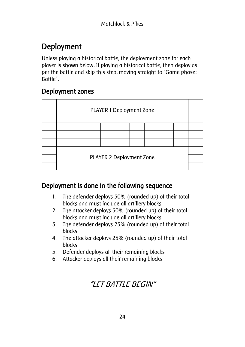## Deployment

Unless playing a historical battle, the deployment zone for each player is shown below. If playing a historical battle, then deploy as per the battle and skip this step, moving straight to "Game phase: Battle".

#### Deployment zones

| PLAYER 1 Deployment Zone |  |  |  |  |  |  |  |  |  |
|--------------------------|--|--|--|--|--|--|--|--|--|
|                          |  |  |  |  |  |  |  |  |  |
|                          |  |  |  |  |  |  |  |  |  |
|                          |  |  |  |  |  |  |  |  |  |
|                          |  |  |  |  |  |  |  |  |  |
|                          |  |  |  |  |  |  |  |  |  |
| PLAYER 2 Deployment Zone |  |  |  |  |  |  |  |  |  |
|                          |  |  |  |  |  |  |  |  |  |

#### Deployment is done in the following sequence

- 1. The defender deploys 50% (rounded up) of their total blocks and must include all artillery blocks
- 2. The attacker deploys 50% (rounded up) of their total blocks and must include all artillery blocks
- 3. The defender deploys 25% (rounded up) of their total blocks
- 4. The attacker deploys 25% (rounded up) of their total blocks
- 5. Defender deploys all their remaining blocks
- 6. Attacker deploys all their remaining blocks

### "LET BATTLE BEGIN"